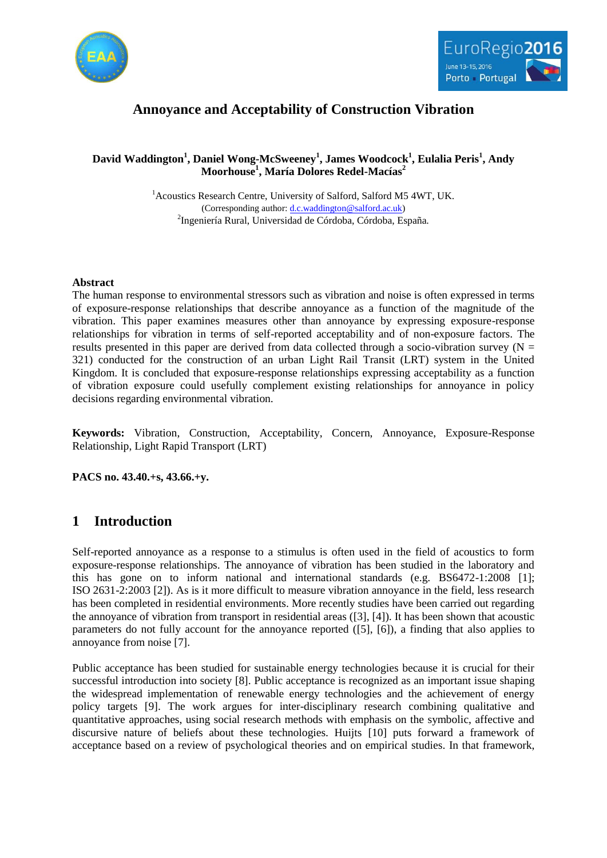



# **Annoyance and Acceptability of Construction Vibration**

### **David Waddington<sup>1</sup> , Daniel Wong-McSweeney<sup>1</sup> , James Woodcock<sup>1</sup> , Eulalia Peris<sup>1</sup> , Andy Moorhouse<sup>1</sup> , María Dolores Redel-Macías<sup>2</sup>**

<sup>1</sup> Acoustics Research Centre, University of Salford, Salford M5 4WT, UK. (Corresponding author[: d.c.waddington@salford.ac.uk\)](mailto:d.c.waddington@salford.ac.uk) <sup>2</sup>Ingeniería Rural, Universidad de Córdoba, Córdoba, España.

#### **Abstract**

The human response to environmental stressors such as vibration and noise is often expressed in terms of exposure-response relationships that describe annoyance as a function of the magnitude of the vibration. This paper examines measures other than annoyance by expressing exposure-response relationships for vibration in terms of self-reported acceptability and of non-exposure factors. The results presented in this paper are derived from data collected through a socio-vibration survey ( $N =$ 321) conducted for the construction of an urban Light Rail Transit (LRT) system in the United Kingdom. It is concluded that exposure-response relationships expressing acceptability as a function of vibration exposure could usefully complement existing relationships for annoyance in policy decisions regarding environmental vibration.

**Keywords:** Vibration, Construction, Acceptability, Concern, Annoyance, Exposure-Response Relationship, Light Rapid Transport (LRT)

**PACS no. 43.40.+s, 43.66.+y.**

## **1 Introduction**

Self-reported annoyance as a response to a stimulus is often used in the field of acoustics to form exposure-response relationships. The annoyance of vibration has been studied in the laboratory and this has gone on to inform national and international standards (e.g. BS6472-1:2008 [\[1\];](#page-7-0) ISO 2631-2:2003 [\[2\]\)](#page-7-1). As is it more difficult to measure vibration annoyance in the field, less research has been completed in residential environments. More recently studies have been carried out regarding the annoyance of vibration from transport in residential areas [\(\[3\],](#page-7-2) [\[4\]\)](#page-7-3). It has been shown that acoustic parameters do not fully account for the annoyance reported [\(\[5\],](#page-7-4) [\[6\]\)](#page-8-0), a finding that also applies to annoyance from noise [\[7\].](#page-8-1)

Public acceptance has been studied for sustainable energy technologies because it is crucial for their successful introduction into society [\[8\].](#page-8-2) Public acceptance is recognized as an important issue shaping the widespread implementation of renewable energy technologies and the achievement of energy policy targets [\[9\].](#page-8-3) The work argues for inter-disciplinary research combining qualitative and quantitative approaches, using social research methods with emphasis on the symbolic, affective and discursive nature of beliefs about these technologies. Huijts [\[10\]](#page-8-4) puts forward a framework of acceptance based on a review of psychological theories and on empirical studies. In that framework,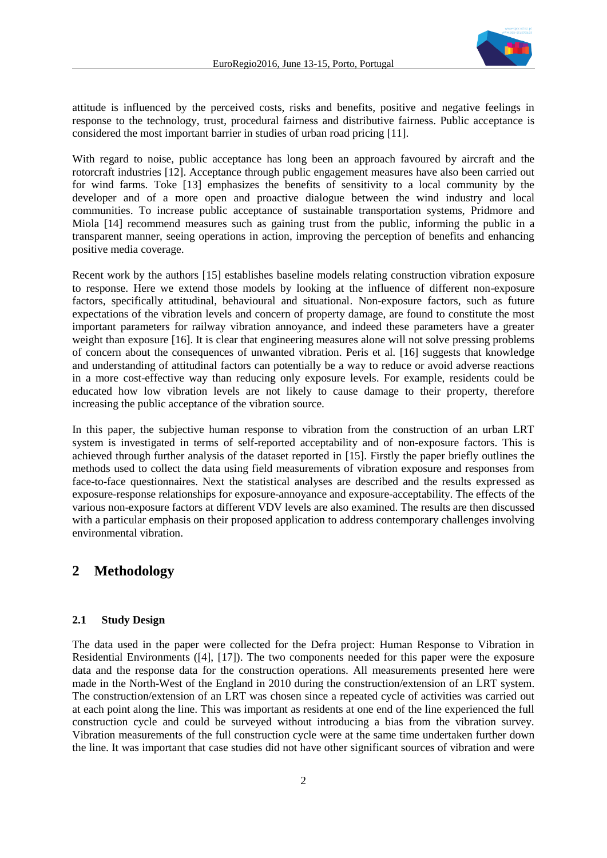

attitude is influenced by the perceived costs, risks and benefits, positive and negative feelings in response to the technology, trust, procedural fairness and distributive fairness. Public acceptance is considered the most important barrier in studies of urban road pricin[g \[11\].](#page-8-5)

With regard to noise, public acceptance has long been an approach favoured by aircraft and the rotorcraft industries [\[12\].](#page-8-6) Acceptance through public engagement measures have also been carried out for wind farms. Toke [\[13\]](#page-8-7) emphasizes the benefits of sensitivity to a local community by the developer and of a more open and proactive dialogue between the wind industry and local communities. To increase public acceptance of sustainable transportation systems, Pridmore and Miola [\[14\]](#page-8-8) recommend measures such as gaining trust from the public, informing the public in a transparent manner, seeing operations in action, improving the perception of benefits and enhancing positive media coverage.

Recent work by the authors [\[15\]](#page-8-9) establishes baseline models relating construction vibration exposure to response. Here we extend those models by looking at the influence of different non-exposure factors, specifically attitudinal, behavioural and situational. Non-exposure factors, such as future expectations of the vibration levels and concern of property damage, are found to constitute the most important parameters for railway vibration annoyance, and indeed these parameters have a greater weight than exposure [\[16\].](#page-8-10) It is clear that engineering measures alone will not solve pressing problems of concern about the consequences of unwanted vibration. Peris et al. [\[16\]](#page-8-10) suggests that knowledge and understanding of attitudinal factors can potentially be a way to reduce or avoid adverse reactions in a more cost-effective way than reducing only exposure levels. For example, residents could be educated how low vibration levels are not likely to cause damage to their property, therefore increasing the public acceptance of the vibration source.

In this paper, the subjective human response to vibration from the construction of an urban LRT system is investigated in terms of self-reported acceptability and of non-exposure factors. This is achieved through further analysis of the dataset reported in [\[15\].](#page-8-9) Firstly the paper briefly outlines the methods used to collect the data using field measurements of vibration exposure and responses from face-to-face questionnaires. Next the statistical analyses are described and the results expressed as exposure-response relationships for exposure-annoyance and exposure-acceptability. The effects of the various non-exposure factors at different VDV levels are also examined. The results are then discussed with a particular emphasis on their proposed application to address contemporary challenges involving environmental vibration.

## **2 Methodology**

#### **2.1 Study Design**

The data used in the paper were collected for the Defra project: Human Response to Vibration in Residential Environments [\(\[4\],](#page-7-3) [\[17\]\)](#page-8-11). The two components needed for this paper were the exposure data and the response data for the construction operations. All measurements presented here were made in the North-West of the England in 2010 during the construction/extension of an LRT system. The construction/extension of an LRT was chosen since a repeated cycle of activities was carried out at each point along the line. This was important as residents at one end of the line experienced the full construction cycle and could be surveyed without introducing a bias from the vibration survey. Vibration measurements of the full construction cycle were at the same time undertaken further down the line. It was important that case studies did not have other significant sources of vibration and were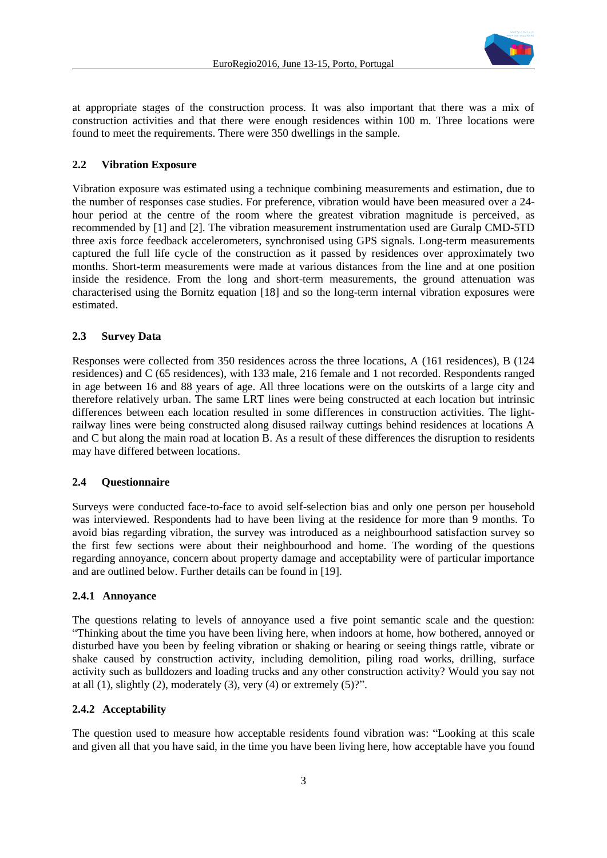

at appropriate stages of the construction process. It was also important that there was a mix of construction activities and that there were enough residences within 100 m. Three locations were found to meet the requirements. There were 350 dwellings in the sample.

#### **2.2 Vibration Exposure**

Vibration exposure was estimated using a technique combining measurements and estimation, due to the number of responses case studies. For preference, vibration would have been measured over a 24 hour period at the centre of the room where the greatest vibration magnitude is perceived, as recommended by [\[1\]](#page-7-0) and [\[2\].](#page-7-1) The vibration measurement instrumentation used are Guralp CMD-5TD three axis force feedback accelerometers, synchronised using GPS signals. Long-term measurements captured the full life cycle of the construction as it passed by residences over approximately two months. Short-term measurements were made at various distances from the line and at one position inside the residence. From the long and short-term measurements, the ground attenuation was characterised using the Bornitz equation [\[18\]](#page-8-12) and so the long-term internal vibration exposures were estimated.

#### **2.3 Survey Data**

Responses were collected from 350 residences across the three locations, A (161 residences), B (124 residences) and C (65 residences), with 133 male, 216 female and 1 not recorded. Respondents ranged in age between 16 and 88 years of age. All three locations were on the outskirts of a large city and therefore relatively urban. The same LRT lines were being constructed at each location but intrinsic differences between each location resulted in some differences in construction activities. The lightrailway lines were being constructed along disused railway cuttings behind residences at locations A and C but along the main road at location B. As a result of these differences the disruption to residents may have differed between locations.

#### **2.4 Questionnaire**

Surveys were conducted face-to-face to avoid self-selection bias and only one person per household was interviewed. Respondents had to have been living at the residence for more than 9 months. To avoid bias regarding vibration, the survey was introduced as a neighbourhood satisfaction survey so the first few sections were about their neighbourhood and home. The wording of the questions regarding annoyance, concern about property damage and acceptability were of particular importance and are outlined below. Further details can be found in [\[19\].](#page-8-13)

#### **2.4.1 Annoyance**

The questions relating to levels of annoyance used a five point semantic scale and the question: "Thinking about the time you have been living here, when indoors at home, how bothered, annoyed or disturbed have you been by feeling vibration or shaking or hearing or seeing things rattle, vibrate or shake caused by construction activity, including demolition, piling road works, drilling, surface activity such as bulldozers and loading trucks and any other construction activity? Would you say not at all  $(1)$ , slightly  $(2)$ , moderately  $(3)$ , very  $(4)$  or extremely  $(5)$ ?".

#### **2.4.2 Acceptability**

The question used to measure how acceptable residents found vibration was: "Looking at this scale and given all that you have said, in the time you have been living here, how acceptable have you found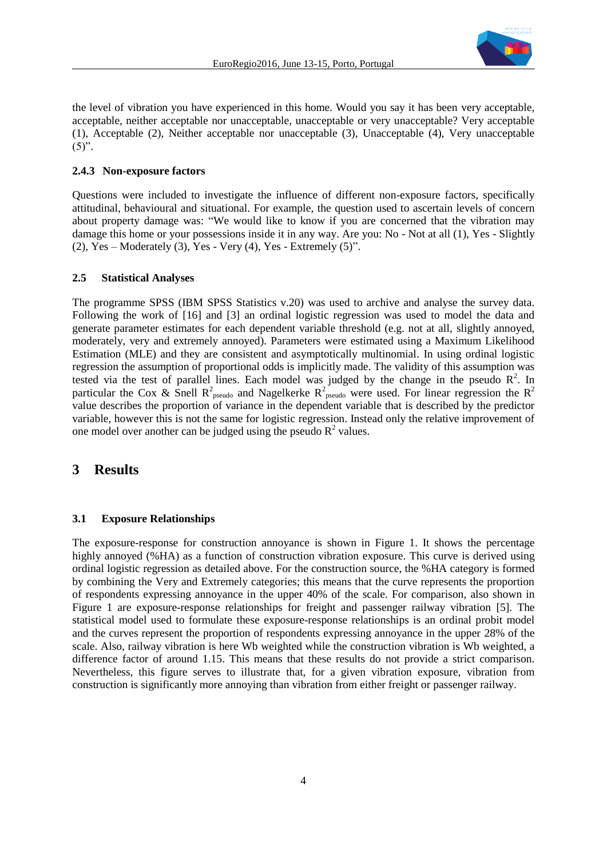

the level of vibration you have experienced in this home. Would you say it has been very acceptable, acceptable, neither acceptable nor unacceptable, unacceptable or very unacceptable? Very acceptable (1), Acceptable (2), Neither acceptable nor unacceptable (3), Unacceptable (4), Very unacceptable  $(5)$ ".

#### **2.4.3 Non-exposure factors**

Questions were included to investigate the influence of different non-exposure factors, specifically attitudinal, behavioural and situational. For example, the question used to ascertain levels of concern about property damage was: "We would like to know if you are concerned that the vibration may damage this home or your possessions inside it in any way. Are you: No - Not at all (1), Yes - Slightly (2), Yes – Moderately (3), Yes - Very (4), Yes - Extremely  $(5)$ ".

#### **2.5 Statistical Analyses**

The programme SPSS (IBM SPSS Statistics v.20) was used to archive and analyse the survey data. Following the work of [\[16\]](#page-8-10) and [\[3\]](#page-7-2) an ordinal logistic regression was used to model the data and generate parameter estimates for each dependent variable threshold (e.g. not at all, slightly annoyed, moderately, very and extremely annoyed). Parameters were estimated using a Maximum Likelihood Estimation (MLE) and they are consistent and asymptotically multinomial. In using ordinal logistic regression the assumption of proportional odds is implicitly made. The validity of this assumption was tested via the test of parallel lines. Each model was judged by the change in the pseudo  $R^2$ . In particular the Cox & Snell R<sup>2</sup><sub>pseudo</sub> and Nagelkerke R<sup>2</sup><sub>pseudo</sub> were used. For linear regression the R<sup>2</sup> value describes the proportion of variance in the dependent variable that is described by the predictor variable, however this is not the same for logistic regression. Instead only the relative improvement of one model over another can be judged using the pseudo  $R^2$  values.

### **3 Results**

#### **3.1 Exposure Relationships**

The exposure-response for construction annoyance is shown in [Figure 1.](#page-4-0) It shows the percentage highly annoyed (%HA) as a function of construction vibration exposure. This curve is derived using ordinal logistic regression as detailed above. For the construction source, the %HA category is formed by combining the Very and Extremely categories; this means that the curve represents the proportion of respondents expressing annoyance in the upper 40% of the scale. For comparison, also shown in [Figure 1](#page-4-0) are exposure-response relationships for freight and passenger railway vibration [\[5\].](#page-7-4) The statistical model used to formulate these exposure-response relationships is an ordinal probit model and the curves represent the proportion of respondents expressing annoyance in the upper 28% of the scale. Also, railway vibration is here Wb weighted while the construction vibration is Wb weighted, a difference factor of around 1.15. This means that these results do not provide a strict comparison. Nevertheless, this figure serves to illustrate that, for a given vibration exposure, vibration from construction is significantly more annoying than vibration from either freight or passenger railway.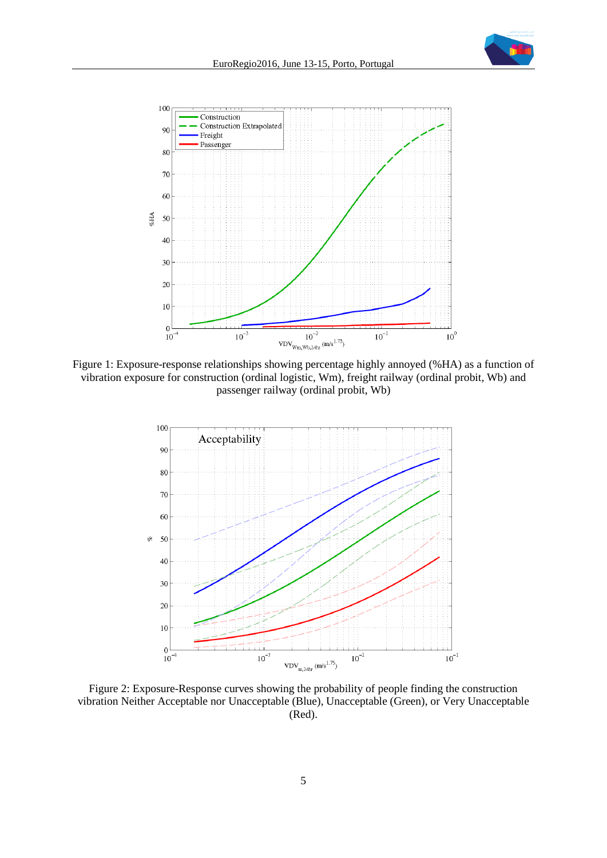



<span id="page-4-0"></span>Figure 1: Exposure-response relationships showing percentage highly annoyed (%HA) as a function of vibration exposure for construction (ordinal logistic, Wm), freight railway (ordinal probit, Wb) and passenger railway (ordinal probit, Wb)



<span id="page-4-1"></span>Figure 2: Exposure-Response curves showing the probability of people finding the construction vibration Neither Acceptable nor Unacceptable (Blue), Unacceptable (Green), or Very Unacceptable (Red).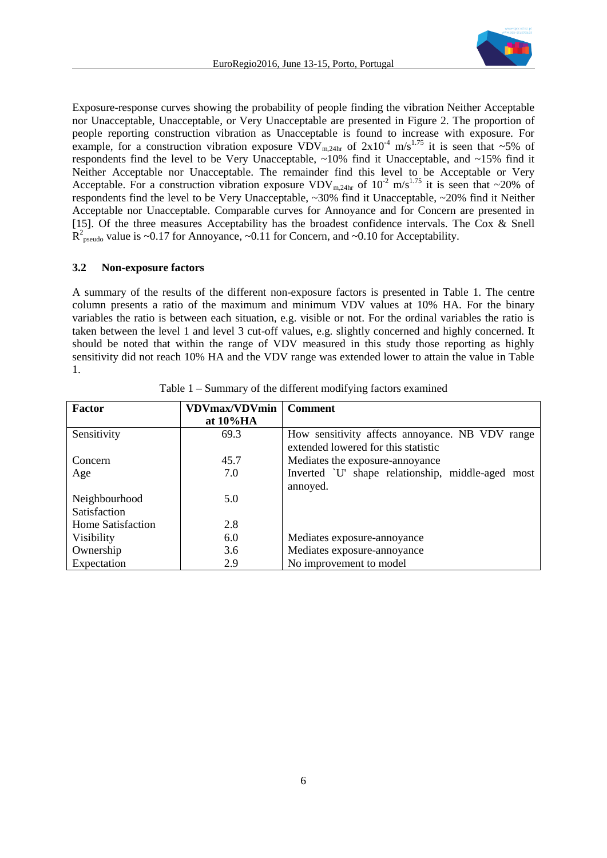

Exposure-response curves showing the probability of people finding the vibration Neither Acceptable nor Unacceptable, Unacceptable, or Very Unacceptable are presented in [Figure 2.](#page-4-1) The proportion of people reporting construction vibration as Unacceptable is found to increase with exposure. For example, for a construction vibration exposure  $VDV_{m,24hr}$  of  $2x10^{-4}$  m/s<sup>1.75</sup> it is seen that ~5% of respondents find the level to be Very Unacceptable, ~10% find it Unacceptable, and ~15% find it Neither Acceptable nor Unacceptable. The remainder find this level to be Acceptable or Very Acceptable. For a construction vibration exposure  $VDV_{m,24hr}$  of  $10^{-2}$  m/s<sup>1.75</sup> it is seen that ~20% of respondents find the level to be Very Unacceptable, ~30% find it Unacceptable, ~20% find it Neither Acceptable nor Unacceptable. Comparable curves for Annoyance and for Concern are presented in [\[15\].](#page-8-9) Of the three measures Acceptability has the broadest confidence intervals. The Cox & Snell  $R^2_{\text{pseudo}}$  value is ~0.17 for Annoyance, ~0.11 for Concern, and ~0.10 for Acceptability.

#### **3.2 Non-exposure factors**

A summary of the results of the different non-exposure factors is presented in [Table 1.](#page-5-0) The centre column presents a ratio of the maximum and minimum VDV values at 10% HA. For the binary variables the ratio is between each situation, e.g. visible or not. For the ordinal variables the ratio is taken between the level 1 and level 3 cut-off values, e.g. slightly concerned and highly concerned. It should be noted that within the range of VDV measured in this study those reporting as highly sensitivity did not reach 10% HA and the VDV range was extended lower to attain the value in Table 1.

<span id="page-5-0"></span>

| Factor            | <b>VDVmax/VDVmin</b> | <b>Comment</b>                                                                         |
|-------------------|----------------------|----------------------------------------------------------------------------------------|
|                   | at $10\%$ HA         |                                                                                        |
| Sensitivity       | 69.3                 | How sensitivity affects annoyance. NB VDV range<br>extended lowered for this statistic |
| Concern           | 45.7                 | Mediates the exposure-annoyance                                                        |
| Age               | 7.0                  | Inverted `U' shape relationship, middle-aged most                                      |
|                   |                      | annoyed.                                                                               |
| Neighbourhood     | 5.0                  |                                                                                        |
| Satisfaction      |                      |                                                                                        |
| Home Satisfaction | 2.8                  |                                                                                        |
| Visibility        | 6.0                  | Mediates exposure-annoyance                                                            |
| Ownership         | 3.6                  | Mediates exposure-annoyance                                                            |
| Expectation       | 2.9                  | No improvement to model                                                                |

Table 1 – Summary of the different modifying factors examined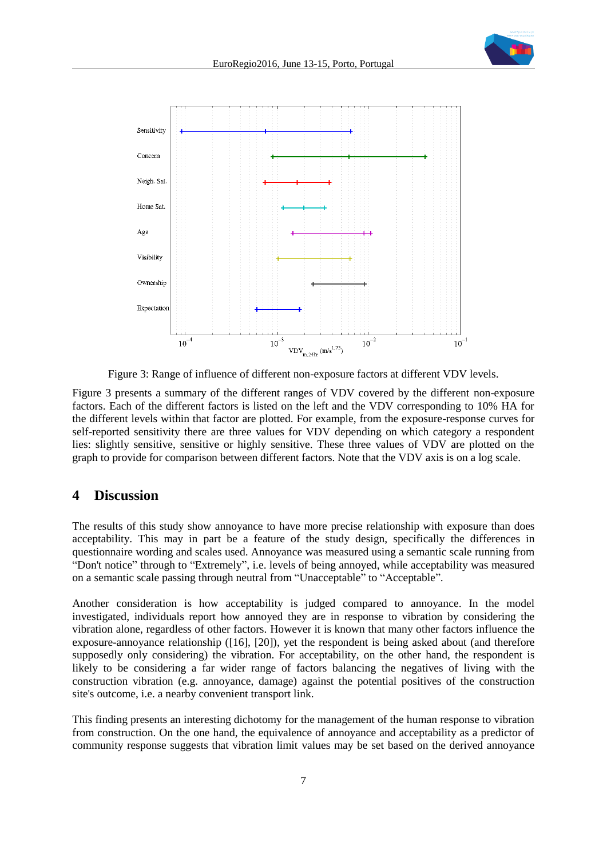

Figure 3: Range of influence of different non-exposure factors at different VDV levels.

<span id="page-6-0"></span>[Figure 3](#page-6-0) presents a summary of the different ranges of VDV covered by the different non-exposure factors. Each of the different factors is listed on the left and the VDV corresponding to 10% HA for the different levels within that factor are plotted. For example, from the exposure-response curves for self-reported sensitivity there are three values for VDV depending on which category a respondent lies: slightly sensitive, sensitive or highly sensitive. These three values of VDV are plotted on the graph to provide for comparison between different factors. Note that the VDV axis is on a log scale.

### **4 Discussion**

The results of this study show annoyance to have more precise relationship with exposure than does acceptability. This may in part be a feature of the study design, specifically the differences in questionnaire wording and scales used. Annoyance was measured using a semantic scale running from "Don't notice" through to "Extremely", i.e. levels of being annoyed, while acceptability was measured on a semantic scale passing through neutral from "Unacceptable" to "Acceptable".

Another consideration is how acceptability is judged compared to annoyance. In the model investigated, individuals report how annoyed they are in response to vibration by considering the vibration alone, regardless of other factors. However it is known that many other factors influence the exposure-annoyance relationship [\(\[16\],](#page-8-10) [\[20\]\)](#page-8-14), yet the respondent is being asked about (and therefore supposedly only considering) the vibration. For acceptability, on the other hand, the respondent is likely to be considering a far wider range of factors balancing the negatives of living with the construction vibration (e.g. annoyance, damage) against the potential positives of the construction site's outcome, i.e. a nearby convenient transport link.

This finding presents an interesting dichotomy for the management of the human response to vibration from construction. On the one hand, the equivalence of annoyance and acceptability as a predictor of community response suggests that vibration limit values may be set based on the derived annoyance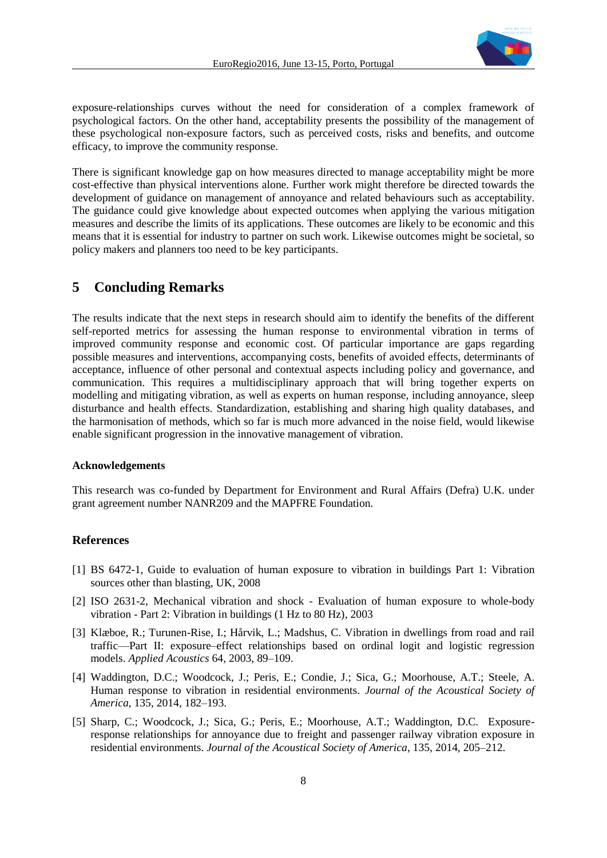

exposure-relationships curves without the need for consideration of a complex framework of psychological factors. On the other hand, acceptability presents the possibility of the management of these psychological non-exposure factors, such as perceived costs, risks and benefits, and outcome efficacy, to improve the community response.

There is significant knowledge gap on how measures directed to manage acceptability might be more cost-effective than physical interventions alone. Further work might therefore be directed towards the development of guidance on management of annoyance and related behaviours such as acceptability. The guidance could give knowledge about expected outcomes when applying the various mitigation measures and describe the limits of its applications. These outcomes are likely to be economic and this means that it is essential for industry to partner on such work. Likewise outcomes might be societal, so policy makers and planners too need to be key participants.

## **5 Concluding Remarks**

The results indicate that the next steps in research should aim to identify the benefits of the different self-reported metrics for assessing the human response to environmental vibration in terms of improved community response and economic cost. Of particular importance are gaps regarding possible measures and interventions, accompanying costs, benefits of avoided effects, determinants of acceptance, influence of other personal and contextual aspects including policy and governance, and communication. This requires a multidisciplinary approach that will bring together experts on modelling and mitigating vibration, as well as experts on human response, including annoyance, sleep disturbance and health effects. Standardization, establishing and sharing high quality databases, and the harmonisation of methods, which so far is much more advanced in the noise field, would likewise enable significant progression in the innovative management of vibration.

#### **Acknowledgements**

This research was co-funded by Department for Environment and Rural Affairs (Defra) U.K. under grant agreement number NANR209 and the MAPFRE Foundation.

#### **References**

- <span id="page-7-0"></span>[1] BS 6472-1, Guide to evaluation of human exposure to vibration in buildings Part 1: Vibration sources other than blasting, UK, 2008
- <span id="page-7-1"></span>[2] ISO 2631-2, Mechanical vibration and shock - Evaluation of human exposure to whole-body vibration - Part 2: Vibration in buildings (1 Hz to 80 Hz), 2003
- <span id="page-7-2"></span>[3] Klæboe, R.; Turunen-Rise, I.; Hårvik, L.; Madshus, C. Vibration in dwellings from road and rail traffic—Part II: exposure–effect relationships based on ordinal logit and logistic regression models. *Applied Acoustics* 64, 2003, 89–109.
- <span id="page-7-3"></span>[4] Waddington, D.C.; Woodcock, J.; Peris, E.; Condie, J.; Sica, G.; Moorhouse, A.T.; Steele, A. Human response to vibration in residential environments. *Journal of the Acoustical Society of America*, 135, 2014, 182–193.
- <span id="page-7-4"></span>[5] Sharp, C.; Woodcock, J.; Sica, G.; Peris, E.; Moorhouse, A.T.; Waddington, D.C. Exposureresponse relationships for annoyance due to freight and passenger railway vibration exposure in residential environments. *Journal of the Acoustical Society of America*, 135, 2014, 205–212.